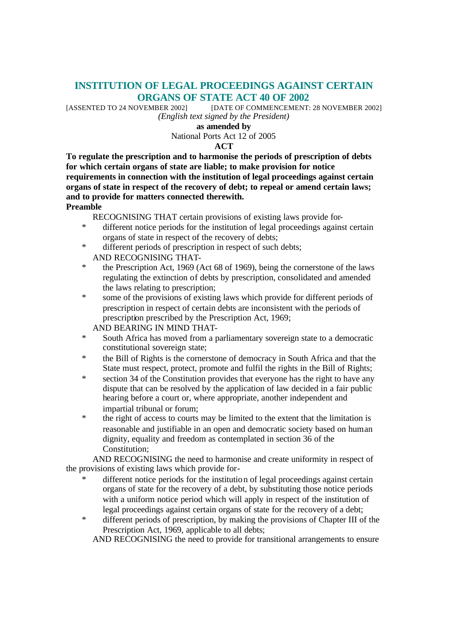# **INSTITUTION OF LEGAL PROCEEDINGS AGAINST CERTAIN ORGANS OF STATE ACT 40 OF 2002**

[ASSENTED TO 24 NOVEMBER 2002] [DATE OF COMMENCEMENT: 28 NOVEMBER 2002] *(English text signed by the President)*

**as amended by**

National Ports Act 12 of 2005

### **ACT**

**To regulate the prescription and to harmonise the periods of prescription of debts for which certain organs of state are liable; to make provision for notice requirements in connection with the institution of legal proceedings against certain organs of state in respect of the recovery of debt; to repeal or amend certain laws; and to provide for matters connected therewith. Preamble**

RECOGNISING THAT certain provisions of existing laws provide for-

- \* different notice periods for the institution of legal proceedings against certain organs of state in respect of the recovery of debts;
- \* different periods of prescription in respect of such debts; AND RECOGNISING THAT-
- \* the Prescription Act, 1969 (Act 68 of 1969), being the cornerstone of the laws regulating the extinction of debts by prescription, consolidated and amended the laws relating to prescription;
- \* some of the provisions of existing laws which provide for different periods of prescription in respect of certain debts are inconsistent with the periods of prescription prescribed by the Prescription Act, 1969;
	- AND BEARING IN MIND THAT-
- South Africa has moved from a parliamentary sovereign state to a democratic constitutional sovereign state;
- \* the Bill of Rights is the cornerstone of democracy in South Africa and that the State must respect, protect, promote and fulfil the rights in the Bill of Rights;
- section 34 of the Constitution provides that everyone has the right to have any dispute that can be resolved by the application of law decided in a fair public hearing before a court or, where appropriate, another independent and impartial tribunal or forum;
- the right of access to courts may be limited to the extent that the limitation is reasonable and justifiable in an open and democratic society based on human dignity, equality and freedom as contemplated in section 36 of the Constitution;

AND RECOGNISING the need to harmonise and create uniformity in respect of the provisions of existing laws which provide for-

- different notice periods for the institution of legal proceedings against certain organs of state for the recovery of a debt, by substituting those notice periods with a uniform notice period which will apply in respect of the institution of legal proceedings against certain organs of state for the recovery of a debt;
- \* different periods of prescription, by making the provisions of Chapter III of the Prescription Act, 1969, applicable to all debts;

AND RECOGNISING the need to provide for transitional arrangements to ensure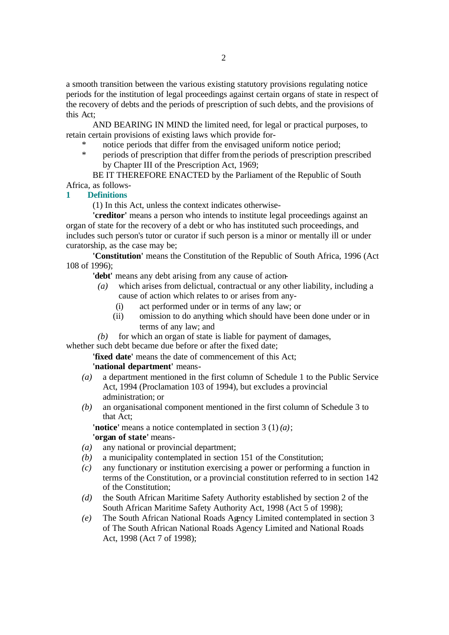a smooth transition between the various existing statutory provisions regulating notice periods for the institution of legal proceedings against certain organs of state in respect of the recovery of debts and the periods of prescription of such debts, and the provisions of this Act;

AND BEARING IN MIND the limited need, for legal or practical purposes, to retain certain provisions of existing laws which provide for-

- notice periods that differ from the envisaged uniform notice period;
- \* periods of prescription that differ from the periods of prescription prescribed by Chapter III of the Prescription Act, 1969;

BE IT THEREFORE ENACTED by the Parliament of the Republic of South Africa, as follows-

## **1 Definitions**

(1) In this Act, unless the context indicates otherwise-

**'creditor'** means a person who intends to institute legal proceedings against an organ of state for the recovery of a debt or who has instituted such proceedings, and includes such person's tutor or curator if such person is a minor or mentally ill or under curatorship, as the case may be;

**'Constitution'** means the Constitution of the Republic of South Africa, 1996 (Act 108 of 1996);

**'debt'** means any debt arising from any cause of action-

- *(a)* which arises from delictual, contractual or any other liability, including a cause of action which relates to or arises from any-
	- (i) act performed under or in terms of any law; or
	- (ii) omission to do anything which should have been done under or in terms of any law; and

*(b)* for which an organ of state is liable for payment of damages,

whether such debt became due before or after the fixed date;

**'fixed date'** means the date of commencement of this Act;

## **'national department'** means-

- *(a)* a department mentioned in the first column of Schedule 1 to the Public Service Act, 1994 (Proclamation 103 of 1994), but excludes a provincial administration; or
- *(b)* an organisational component mentioned in the first column of Schedule 3 to that Act;

**'notice'** means a notice contemplated in section 3 (1) *(a)*; **'organ of state'** means-

- *(a)* any national or provincial department;
- *(b)* a municipality contemplated in section 151 of the Constitution;
- *(c)* any functionary or institution exercising a power or performing a function in terms of the Constitution, or a provincial constitution referred to in section 142 of the Constitution;
- *(d)* the South African Maritime Safety Authority established by section 2 of the South African Maritime Safety Authority Act, 1998 (Act 5 of 1998);
- *(e)* The South African National Roads Agency Limited contemplated in section 3 of The South African National Roads Agency Limited and National Roads Act, 1998 (Act 7 of 1998);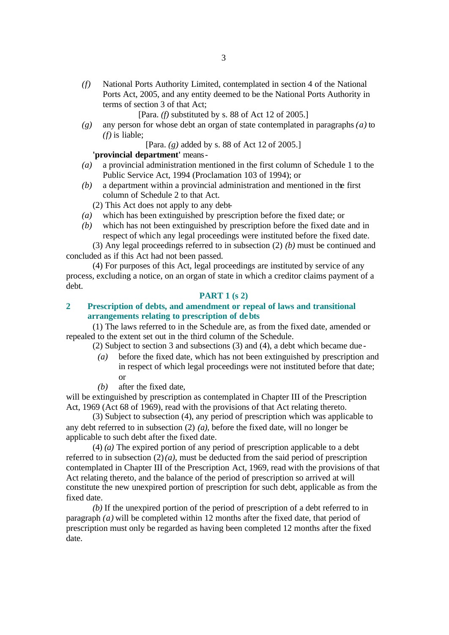*(f)* National Ports Authority Limited, contemplated in section 4 of the National Ports Act, 2005, and any entity deemed to be the National Ports Authority in terms of section 3 of that Act;

[Para. *(f)* substituted by s. 88 of Act 12 of 2005.]

*(g)* any person for whose debt an organ of state contemplated in paragraphs *(a)* to *(f)* is liable;

[Para. *(g)* added by s. 88 of Act 12 of 2005.]

**'provincial department'** means-

- *(a)* a provincial administration mentioned in the first column of Schedule 1 to the Public Service Act, 1994 (Proclamation 103 of 1994); or
- *(b)* a department within a provincial administration and mentioned in the first column of Schedule 2 to that Act.
	- (2) This Act does not apply to any debt-
- *(a)* which has been extinguished by prescription before the fixed date; or
- *(b)* which has not been extinguished by prescription before the fixed date and in respect of which any legal proceedings were instituted before the fixed date.

(3) Any legal proceedings referred to in subsection (2) *(b)* must be continued and concluded as if this Act had not been passed.

(4) For purposes of this Act, legal proceedings are instituted by service of any process, excluding a notice, on an organ of state in which a creditor claims payment of a debt.

#### **PART 1 (s 2)**

## **2 Prescription of debts, and amendment or repeal of laws and transitional arrangements relating to prescription of debts**

(1) The laws referred to in the Schedule are, as from the fixed date, amended or repealed to the extent set out in the third column of the Schedule.

(2) Subject to section 3 and subsections (3) and (4), a debt which became due -

- *(a)* before the fixed date, which has not been extinguished by prescription and in respect of which legal proceedings were not instituted before that date; or
- *(b)* after the fixed date,

will be extinguished by prescription as contemplated in Chapter III of the Prescription Act, 1969 (Act 68 of 1969), read with the provisions of that Act relating thereto.

(3) Subject to subsection (4), any period of prescription which was applicable to any debt referred to in subsection (2) *(a)*, before the fixed date, will no longer be applicable to such debt after the fixed date.

(4) *(a)* The expired portion of any period of prescription applicable to a debt referred to in subsection  $(2)(a)$ , must be deducted from the said period of prescription contemplated in Chapter III of the Prescription Act, 1969, read with the provisions of that Act relating thereto, and the balance of the period of prescription so arrived at will constitute the new unexpired portion of prescription for such debt, applicable as from the fixed date.

*(b)* If the unexpired portion of the period of prescription of a debt referred to in paragraph *(a)* will be completed within 12 months after the fixed date, that period of prescription must only be regarded as having been completed 12 months after the fixed date.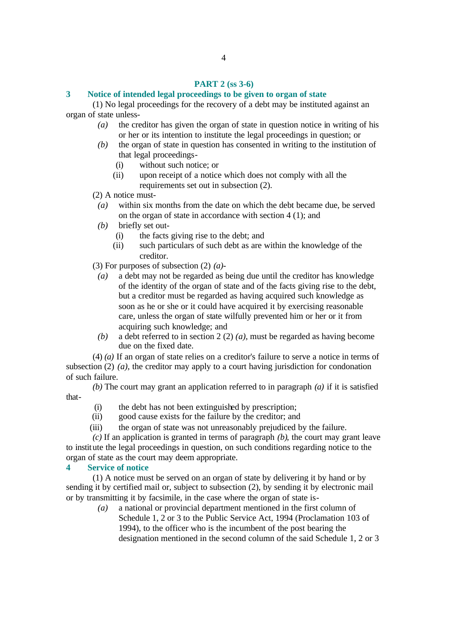#### **PART 2 (ss 3-6)**

#### **3 Notice of intended legal proceedings to be given to organ of state**

(1) No legal proceedings for the recovery of a debt may be instituted against an organ of state unless-

- *(a)* the creditor has given the organ of state in question notice in writing of his or her or its intention to institute the legal proceedings in question; or
- *(b)* the organ of state in question has consented in writing to the institution of that legal proceedings-
	- (i) without such notice; or
	- (ii) upon receipt of a notice which does not comply with all the requirements set out in subsection (2).

(2) A notice must-

- *(a)* within six months from the date on which the debt became due, be served on the organ of state in accordance with section 4 (1); and
- *(b)* briefly set out-
	- (i) the facts giving rise to the debt; and
	- (ii) such particulars of such debt as are within the knowledge of the creditor.

(3) For purposes of subsection (2) *(a)*-

- *(a)* a debt may not be regarded as being due until the creditor has knowledge of the identity of the organ of state and of the facts giving rise to the debt, but a creditor must be regarded as having acquired such knowledge as soon as he or she or it could have acquired it by exercising reasonable care, unless the organ of state wilfully prevented him or her or it from acquiring such knowledge; and
- *(b)* a debt referred to in section 2 (2) *(a)*, must be regarded as having become due on the fixed date.

(4) *(a)* If an organ of state relies on a creditor's failure to serve a notice in terms of subsection (2) *(a)*, the creditor may apply to a court having jurisdiction for condonation of such failure.

*(b)* The court may grant an application referred to in paragraph *(a)* if it is satisfied that-

- (i) the debt has not been extinguished by prescription;
- (ii) good cause exists for the failure by the creditor; and
- (iii) the organ of state was not unreasonably prejudiced by the failure.

*(c)* If an application is granted in terms of paragraph *(b)*, the court may grant leave to institute the legal proceedings in question, on such conditions regarding notice to the organ of state as the court may deem appropriate.

#### **4 Service of notice**

(1) A notice must be served on an organ of state by delivering it by hand or by sending it by certified mail or, subject to subsection (2), by sending it by electronic mail or by transmitting it by facsimile, in the case where the organ of state is-

> *(a)* a national or provincial department mentioned in the first column of Schedule 1, 2 or 3 to the Public Service Act, 1994 (Proclamation 103 of 1994), to the officer who is the incumbent of the post bearing the designation mentioned in the second column of the said Schedule 1, 2 or 3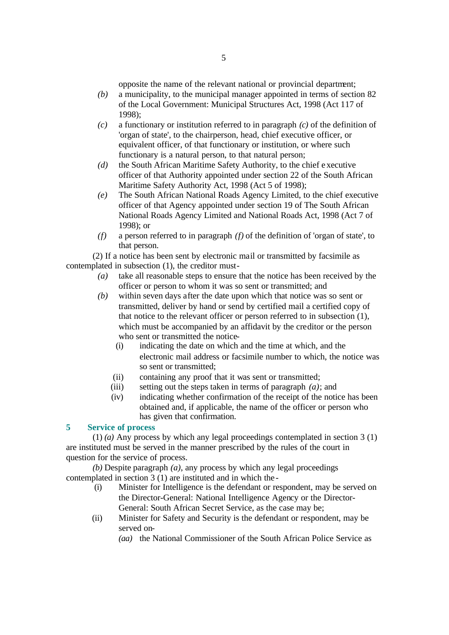opposite the name of the relevant national or provincial department;

- *(b)* a municipality, to the municipal manager appointed in terms of section 82 of the Local Government: Municipal Structures Act, 1998 (Act 117 of 1998);
- *(c)* a functionary or institution referred to in paragraph *(c)* of the definition of 'organ of state', to the chairperson, head, chief executive officer, or equivalent officer, of that functionary or institution, or where such functionary is a natural person, to that natural person;
- *(d)* the South African Maritime Safety Authority, to the chief e xecutive officer of that Authority appointed under section 22 of the South African Maritime Safety Authority Act, 1998 (Act 5 of 1998);
- *(e)* The South African National Roads Agency Limited, to the chief executive officer of that Agency appointed under section 19 of The South African National Roads Agency Limited and National Roads Act, 1998 (Act 7 of 1998); or
- *(f)* a person referred to in paragraph *(f)* of the definition of 'organ of state', to that person.

(2) If a notice has been sent by electronic mail or transmitted by facsimile as contemplated in subsection (1), the creditor must-

- *(a)* take all reasonable steps to ensure that the notice has been received by the officer or person to whom it was so sent or transmitted; and
- *(b)* within seven days after the date upon which that notice was so sent or transmitted, deliver by hand or send by certified mail a certified copy of that notice to the relevant officer or person referred to in subsection (1), which must be accompanied by an affidavit by the creditor or the person who sent or transmitted the notice-
	- (i) indicating the date on which and the time at which, and the electronic mail address or facsimile number to which, the notice was so sent or transmitted;
	- (ii) containing any proof that it was sent or transmitted;
	- (iii) setting out the steps taken in terms of paragraph *(a)*; and
	- (iv) indicating whether confirmation of the receipt of the notice has been obtained and, if applicable, the name of the officer or person who has given that confirmation.

## **5 Service of process**

(1) *(a)* Any process by which any legal proceedings contemplated in section 3 (1) are instituted must be served in the manner prescribed by the rules of the court in question for the service of process.

*(b)* Despite paragraph *(a)*, any process by which any legal proceedings contemplated in section 3 (1) are instituted and in which the -

- (i) Minister for Intelligence is the defendant or respondent, may be served on the Director-General: National Intelligence Agency or the Director-General: South African Secret Service, as the case may be;
- (ii) Minister for Safety and Security is the defendant or respondent, may be served on-

*(aa)* the National Commissioner of the South African Police Service as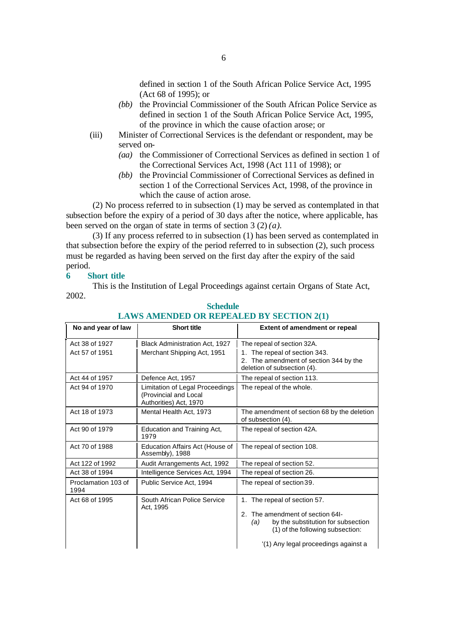defined in section 1 of the South African Police Service Act, 1995 (Act 68 of 1995); or

- *(bb)* the Provincial Commissioner of the South African Police Service as defined in section 1 of the South African Police Service Act, 1995, of the province in which the cause of action arose; or
- (iii) Minister of Correctional Services is the defendant or respondent, may be served on-
	- *(aa)* the Commissioner of Correctional Services as defined in section 1 of the Correctional Services Act, 1998 (Act 111 of 1998); or
	- *(bb)* the Provincial Commissioner of Correctional Services as defined in section 1 of the Correctional Services Act, 1998, of the province in which the cause of action arose.

(2) No process referred to in subsection (1) may be served as contemplated in that subsection before the expiry of a period of 30 days after the notice, where applicable, has been served on the organ of state in terms of section 3 (2) *(a)*.

(3) If any process referred to in subsection (1) has been served as contemplated in that subsection before the expiry of the period referred to in subsection (2), such process must be regarded as having been served on the first day after the expiry of the said period.

#### **6 Short title**

This is the Institution of Legal Proceedings against certain Organs of State Act, 2002.

| No and year of law          | <b>Short title</b>                                                                 | <b>Extent of amendment or repeal</b>                                                                                                                                                      |
|-----------------------------|------------------------------------------------------------------------------------|-------------------------------------------------------------------------------------------------------------------------------------------------------------------------------------------|
| Act 38 of 1927              | <b>Black Administration Act, 1927</b>                                              | The repeal of section 32A.                                                                                                                                                                |
| Act 57 of 1951              | Merchant Shipping Act, 1951                                                        | The repeal of section 343.<br>2. The amendment of section 344 by the<br>deletion of subsection (4).                                                                                       |
| Act 44 of 1957              | Defence Act, 1957                                                                  | The repeal of section 113.                                                                                                                                                                |
| Act 94 of 1970              | Limitation of Legal Proceedings<br>(Provincial and Local<br>Authorities) Act, 1970 | The repeal of the whole.                                                                                                                                                                  |
| Act 18 of 1973              | Mental Health Act, 1973                                                            | The amendment of section 68 by the deletion<br>of subsection (4).                                                                                                                         |
| Act 90 of 1979              | Education and Training Act,<br>1979                                                | The repeal of section 42A.                                                                                                                                                                |
| Act 70 of 1988              | Education Affairs Act (House of<br>Assembly), 1988                                 | The repeal of section 108.                                                                                                                                                                |
| Act 122 of 1992             | Audit Arrangements Act, 1992                                                       | The repeal of section 52.                                                                                                                                                                 |
| Act 38 of 1994              | Intelligence Services Act, 1994                                                    | The repeal of section 26.                                                                                                                                                                 |
| Proclamation 103 of<br>1994 | Public Service Act, 1994                                                           | The repeal of section 39.                                                                                                                                                                 |
| Act 68 of 1995              | South African Police Service<br>Act, 1995                                          | 1. The repeal of section 57.<br>2. The amendment of section 64I-<br>by the substitution for subsection<br>(a)<br>(1) of the following subsection:<br>'(1) Any legal proceedings against a |

#### **Schedule LAWS AMENDED OR REPEALED BY SECTION 2(1)**